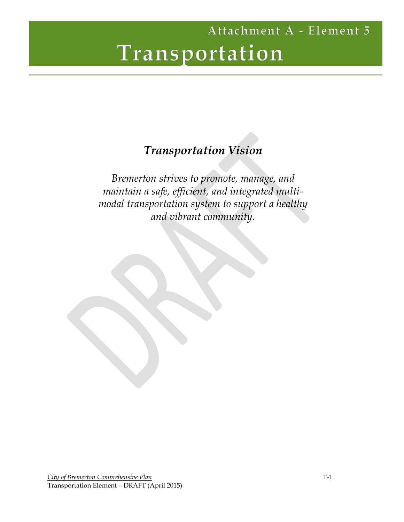## *Transportation Vision*

*Bremerton strives to promote, manage, and maintain a safe, efficient, and integrated multimodal transportation system to support a healthy and vibrant community.*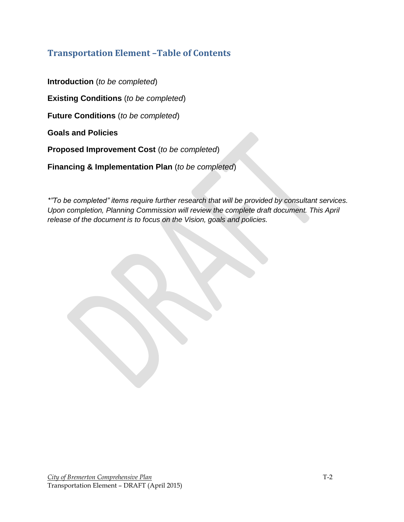## **Transportation Element –Table of Contents**

**Introduction** (*to be completed*)

**Existing Conditions** (*to be completed*)

**Future Conditions** (*to be completed*)

**Goals and Policies**

**Proposed Improvement Cost** (*to be completed*)

**Financing & Implementation Plan** (*to be completed*)

*\*"To be completed" items require further research that will be provided by consultant services. Upon completion, Planning Commission will review the complete draft document. This April release of the document is to focus on the Vision, goals and policies.*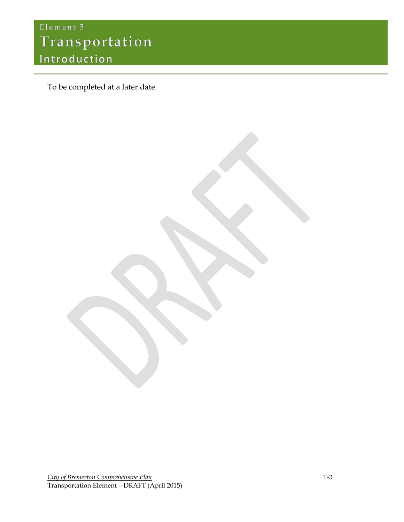# Element 5 Transportation Introduction

To be completed at a later date.

**City of Bremerton Comprehensive Plan** T-3 Transportation Element – DRAFT (April 2015)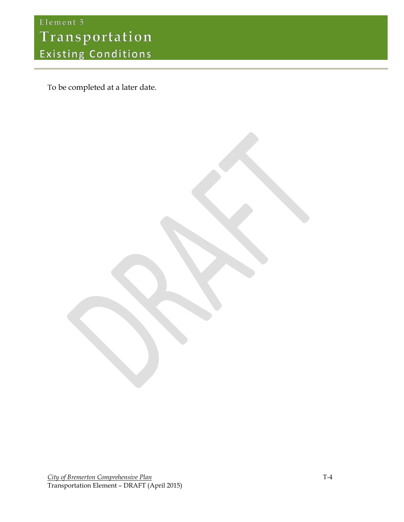To be completed at a later date.

**City of Bremerton Comprehensive Plan** T-4 Transportation Element – DRAFT (April 2015)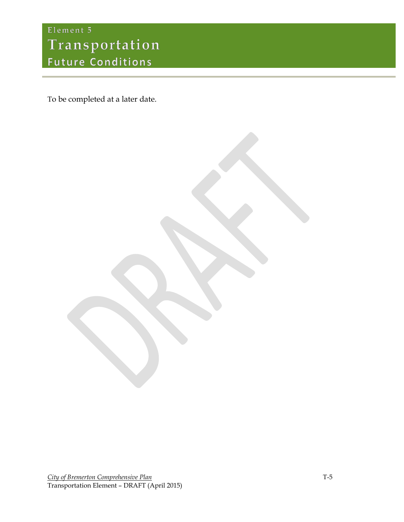## Element 5 Transportation **Future Conditions**

To be completed at a later date.

**City of Bremerton Comprehensive Plan** T-5 Transportation Element – DRAFT (April 2015)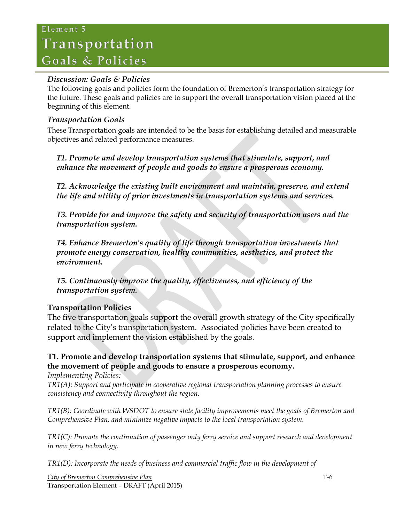## Element 5 Transportation Goals & Policies

### *Discussion: Goals & Policies*

The following goals and policies form the foundation of Bremerton's transportation strategy for the future. These goals and policies are to support the overall transportation vision placed at the beginning of this element.

### *Transportation Goals*

These Transportation goals are intended to be the basis for establishing detailed and measurable objectives and related performance measures.

*T1. Promote and develop transportation systems that stimulate, support, and enhance the movement of people and goods to ensure a prosperous economy.*

*T2. Acknowledge the existing built environment and maintain, preserve, and extend the life and utility of prior investments in transportation systems and services.*

*T3. Provide for and improve the safety and security of transportation users and the transportation system.*

*T4. Enhance Bremerton's quality of life through transportation investments that promote energy conservation, healthy communities, aesthetics, and protect the environment.*

*T5. Continuously improve the quality, effectiveness, and efficiency of the transportation system.*

## **Transportation Policies**

The five transportation goals support the overall growth strategy of the City specifically related to the City's transportation system. Associated policies have been created to support and implement the vision established by the goals.

## **T1. Promote and develop transportation systems that stimulate, support, and enhance the movement of people and goods to ensure a prosperous economy.**

*Implementing Policies:*

*TR1(A): Support and participate in cooperative regional transportation planning processes to ensure consistency and connectivity throughout the region.*

*TR1(B): Coordinate with WSDOT to ensure state facility improvements meet the goals of Bremerton and Comprehensive Plan, and minimize negative impacts to the local transportation system.*

*TR1(C): Promote the continuation of passenger only ferry service and support research and development in new ferry technology.*

*TR1(D): Incorporate the needs of business and commercial traffic flow in the development of* 

*City of Bremerton Comprehensive Plan* T-6 Transportation Element – DRAFT (April 2015)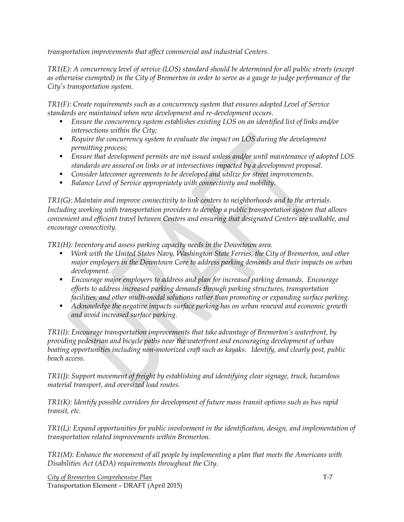*transportation improvements that affect commercial and industrial Centers.*

*TR1(E): A concurrency level of service (LOS) standard should be determined for all public streets (except as otherwise exempted) in the City of Bremerton in order to serve as a gauge to judge performance of the City's transportation system.* 

*TR1(F): Create requirements such as a concurrency system that ensures adopted Level of Service standards are maintained when new development and re-development occurs.*

- *Ensure the concurrency system establishes existing LOS on an identified list of links and/or intersections within the City;*
- *Require the concurrency system to evaluate the impact on LOS during the development permitting process;*
- *Ensure that development permits are not issued unless and/or until maintenance of adopted LOS standards are assured on links or at intersections impacted by a development proposal.*
- *Consider latecomer agreements to be developed and utilize for street improvements.*
- *Balance Level of Service appropriately with connectivity and mobility.*

*TR1(G): Maintain and improve connectivity to link centers to neighborhoods and to the arterials. Including working with transportation providers to develop a public transportation system that allows convenient and efficient travel between Centers and ensuring that designated Centers are walkable, and encourage connectivity.*

*TR1(H): Inventory and assess parking capacity needs in the Downtown area.*

- *Work with the United States Navy, Washington State Ferries, the City of Bremerton, and other major employers in the Downtown Core to address parking demands and their impacts on urban development.*
- *Encourage major employers to address and plan for increased parking demands. Encourage efforts to address increased parking demands through parking structures, transportation facilities, and other multi-modal solutions rather than promoting or expanding surface parking.*
- *Acknowledge the negative impacts surface parking has on urban renewal and economic growth and avoid increased surface parking.*

*TR1(I): Encourage transportation improvements that take advantage of Bremerton's waterfront, by providing pedestrian and bicycle paths near the waterfront and encouraging development of urban boating opportunities including non-motorized craft such as kayaks. Identify, and clearly post, public beach access.*

*TR1(J): Support movement of freight by establishing and identifying clear signage, truck, hazardous material transport, and oversized load routes.*

*TR1(K): Identify possible corridors for development of future mass transit options such as bus rapid transit, etc.*

*TR1(L): Expand opportunities for public involvement in the identification, design, and implementation of transportation related improvements within Bremerton.*

*TR1(M): Enhance the movement of all people by implementing a plan that meets the Americans with Disabilities Act (ADA) requirements throughout the City.*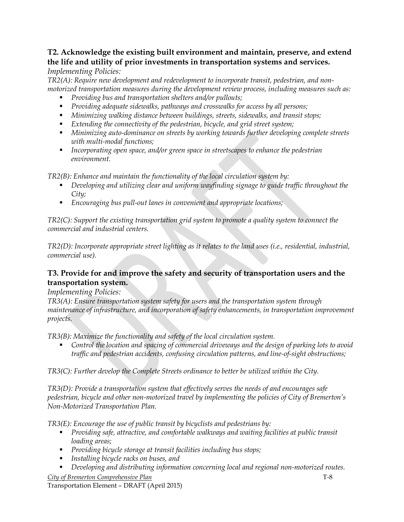#### **T2. Acknowledge the existing built environment and maintain, preserve, and extend the life and utility of prior investments in transportation systems and services.** *Implementing Policies:*

*TR2(A): Require new development and redevelopment to incorporate transit, pedestrian, and nonmotorized transportation measures during the development review process, including measures such as:*

- *Providing bus and transportation shelters and/or pullouts;*
- *Providing adequate sidewalks, pathways and crosswalks for access by all persons;*
- *Minimizing walking distance between buildings, streets, sidewalks, and transit stops;*
- *Extending the connectivity of the pedestrian, bicycle, and grid street system;*
- *Minimizing auto-dominance on streets by working towards further developing complete streets with multi-modal functions;*
- *Incorporating open space, and/or green space in streetscapes to enhance the pedestrian environment.*

*TR2(B): Enhance and maintain the functionality of the local circulation system by:*

- *Developing and utilizing clear and uniform wayfinding signage to guide traffic throughout the City;*
- *Encouraging bus pull-out lanes in convenient and appropriate locations;*

*TR2(C): Support the existing transportation grid system to promote a quality system to connect the commercial and industrial centers.* 

*TR2(D): Incorporate appropriate street lighting as it relates to the land uses (i.e., residential, industrial, commercial use).*

## **T3. Provide for and improve the safety and security of transportation users and the transportation system.**

### *Implementing Policies:*

*TR3(A): Ensure transportation system safety for users and the transportation system through maintenance of infrastructure, and incorporation of safety enhancements, in transportation improvement projects.*

*TR3(B): Maximize the functionality and safety of the local circulation system.*

 *Control the location and spacing of commercial driveways and the design of parking lots to avoid traffic and pedestrian accidents, confusing circulation patterns, and line-of-sight obstructions;*

*TR3(C): Further develop the Complete Streets ordinance to better be utilized within the City.* 

*TR3(D): Provide a transportation system that effectively serves the needs of and encourages safe pedestrian, bicycle and other non-motorized travel by implementing the policies of City of Bremerton's Non-Motorized Transportation Plan.*

*TR3(E): Encourage the use of public transit by bicyclists and pedestrians by:*

- *Providing safe, attractive, and comfortable walkways and waiting facilities at public transit loading areas;*
- *Providing bicycle storage at transit facilities including bus stops;*
- *Installing bicycle racks on buses, and*
- *Developing and distributing information concerning local and regional non-motorized routes.*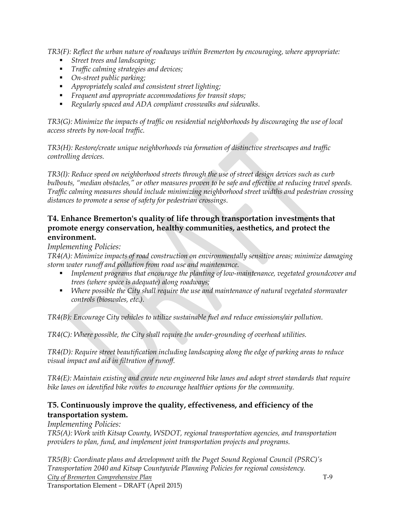*TR3(F): Reflect the urban nature of roadways within Bremerton by encouraging, where appropriate:*

- *Street trees and landscaping;*
- *Traffic calming strategies and devices;*
- *On-street public parking;*
- *Appropriately scaled and consistent street lighting;*
- *Frequent and appropriate accommodations for transit stops;*
- *Regularly spaced and ADA compliant crosswalks and sidewalks.*

*TR3(G): Minimize the impacts of traffic on residential neighborhoods by discouraging the use of local access streets by non-local traffic.*

*TR3(H): Restore/create unique neighborhoods via formation of distinctive streetscapes and traffic controlling devices.*

*TR3(I): Reduce speed on neighborhood streets through the use of street design devices such as curb bulbouts, "median obstacles," or other measures proven to be safe and effective at reducing travel speeds. Traffic calming measures should include minimizing neighborhood street widths and pedestrian crossing distances to promote a sense of safety for pedestrian crossings.*

### **T4. Enhance Bremerton's quality of life through transportation investments that promote energy conservation, healthy communities, aesthetics, and protect the environment.**

*Implementing Policies:*

*TR4(A): Minimize impacts of road construction on environmentally sensitive areas; minimize damaging storm water runoff and pollution from road use and maintenance.*

- *Implement programs that encourage the planting of low-maintenance, vegetated groundcover and trees (where space is adequate) along roadways;*
- *Where possible the City shall require the use and maintenance of natural vegetated stormwater controls (bioswales, etc.).*

*TR4(B): Encourage City vehicles to utilize sustainable fuel and reduce emissions/air pollution.*

*TR4(C): Where possible, the City shall require the under-grounding of overhead utilities.*

*TR4(D): Require street beautification including landscaping along the edge of parking areas to reduce visual impact and aid in filtration of runoff.*

*TR4(E): Maintain existing and create new engineered bike lanes and adopt street standards that require bike lanes on identified bike routes to encourage healthier options for the community.*

### **T5. Continuously improve the quality, effectiveness, and efficiency of the transportation system.**

*Implementing Policies:*

*TR5(A): Work with Kitsap County, WSDOT, regional transportation agencies, and transportation providers to plan, fund, and implement joint transportation projects and programs.*

*City of Bremerton Comprehensive Plan* T-9 *TR5(B): Coordinate plans and development with the Puget Sound Regional Council (PSRC)'s Transportation 2040 and Kitsap Countywide Planning Policies for regional consistency.* 

Transportation Element – DRAFT (April 2015)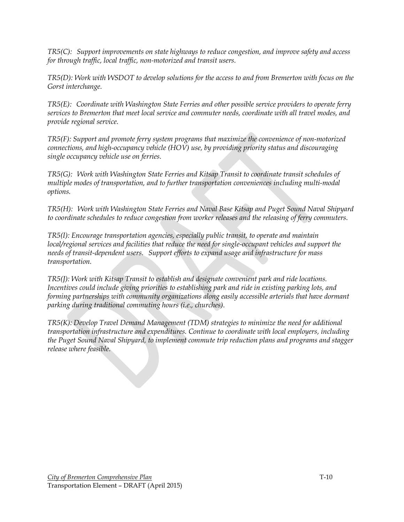*TR5(C): Support improvements on state highways to reduce congestion, and improve safety and access for through traffic, local traffic, non-motorized and transit users.*

*TR5(D): Work with WSDOT to develop solutions for the access to and from Bremerton with focus on the Gorst interchange.* 

*TR5(E): Coordinate with Washington State Ferries and other possible service providers to operate ferry services to Bremerton that meet local service and commuter needs, coordinate with all travel modes, and provide regional service.*

*TR5(F): Support and promote ferry system programs that maximize the convenience of non-motorized connections, and high-occupancy vehicle (HOV) use, by providing priority status and discouraging single occupancy vehicle use on ferries.*

*TR5(G): Work with Washington State Ferries and Kitsap Transit to coordinate transit schedules of multiple modes of transportation, and to further transportation conveniences including multi-modal options.*

*TR5(H): Work with Washington State Ferries and Naval Base Kitsap and Puget Sound Naval Shipyard to coordinate schedules to reduce congestion from worker releases and the releasing of ferry commuters.* 

*TR5(I): Encourage transportation agencies, especially public transit, to operate and maintain local/regional services and facilities that reduce the need for single-occupant vehicles and support the needs of transit-dependent users. Support efforts to expand usage and infrastructure for mass transportation.*

*TR5(J): Work with Kitsap Transit to establish and designate convenient park and ride locations. Incentives could include giving priorities to establishing park and ride in existing parking lots, and forming partnerships with community organizations along easily accessible arterials that have dormant parking during traditional commuting hours (i.e., churches).* 

*TR5(K): Develop Travel Demand Management (TDM) strategies to minimize the need for additional transportation infrastructure and expenditures. Continue to coordinate with local employers, including the Puget Sound Naval Shipyard, to implement commute trip reduction plans and programs and stagger release where feasible.*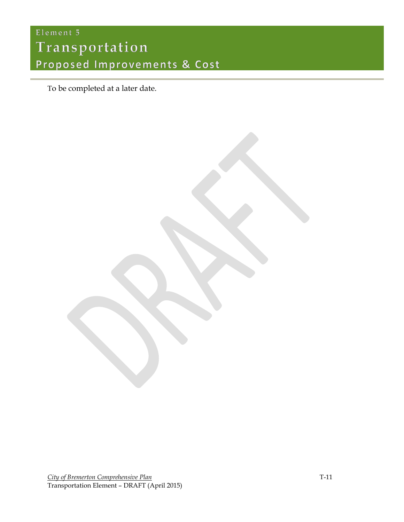# Element 5 Transportation Proposed Improvements & Cost

To be completed at a later date.

**City of Bremerton Comprehensive Plan** T-11 Transportation Element – DRAFT (April 2015)